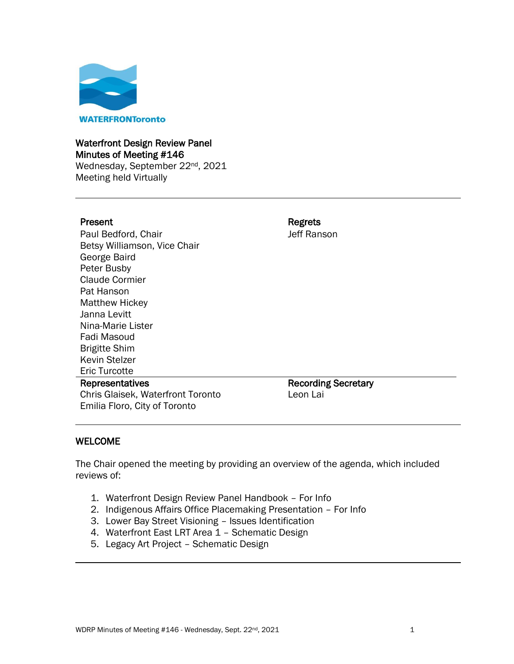

#### Waterfront Design Review Panel Minutes of Meeting #146

Wednesday, September 22<sup>nd</sup>, 2021 Meeting held Virtually

I

Paul Bedford, Chair Betsy Williamson, Vice Chair George Baird Peter Busby Claude Cormier Pat Hanson Matthew Hickey Janna Levitt Nina-Marie Lister Fadi Masoud Brigitte Shim Kevin Stelzer Eric Turcotte Representatives

Present **Regrets** Jeff Ranson

Chris Glaisek, Waterfront Toronto Emilia Floro, City of Toronto Recording Secretary Leon Lai

#### WELCOME

The Chair opened the meeting by providing an overview of the agenda, which included reviews of:

- 1. Waterfront Design Review Panel Handbook For Info
- 2. Indigenous Affairs Office Placemaking Presentation For Info
- 3. Lower Bay Street Visioning Issues Identification
- 4. Waterfront East LRT Area 1 Schematic Design
- 5. Legacy Art Project Schematic Design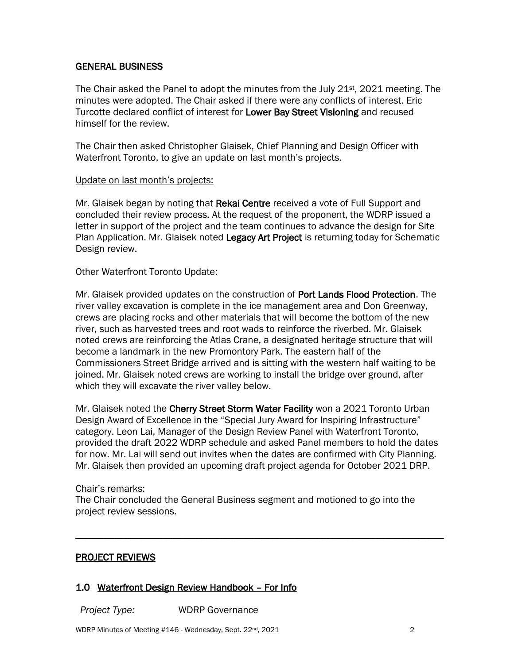#### GENERAL BUSINESS

The Chair asked the Panel to adopt the minutes from the July 21<sup>st</sup>, 2021 meeting. The minutes were adopted. The Chair asked if there were any conflicts of interest. Eric Turcotte declared conflict of interest for Lower Bay Street Visioning and recused himself for the review.

The Chair then asked Christopher Glaisek, Chief Planning and Design Officer with Waterfront Toronto, to give an update on last month's projects.

#### Update on last month's projects:

Mr. Glaisek began by noting that Rekai Centre received a vote of Full Support and concluded their review process. At the request of the proponent, the WDRP issued a letter in support of the project and the team continues to advance the design for Site Plan Application. Mr. Glaisek noted Legacy Art Project is returning today for Schematic Design review.

#### Other Waterfront Toronto Update:

Mr. Glaisek provided updates on the construction of Port Lands Flood Protection. The river valley excavation is complete in the ice management area and Don Greenway, crews are placing rocks and other materials that will become the bottom of the new river, such as harvested trees and root wads to reinforce the riverbed. Mr. Glaisek noted crews are reinforcing the Atlas Crane, a designated heritage structure that will become a landmark in the new Promontory Park. The eastern half of the Commissioners Street Bridge arrived and is sitting with the western half waiting to be joined. Mr. Glaisek noted crews are working to install the bridge over ground, after which they will excavate the river valley below.

Mr. Glaisek noted the Cherry Street Storm Water Facility won a 2021 Toronto Urban Design Award of Excellence in the "Special Jury Award for Inspiring Infrastructure" category. Leon Lai, Manager of the Design Review Panel with Waterfront Toronto, provided the draft 2022 WDRP schedule and asked Panel members to hold the dates for now. Mr. Lai will send out invites when the dates are confirmed with City Planning. Mr. Glaisek then provided an upcoming draft project agenda for October 2021 DRP.

#### Chair's remarks:

The Chair concluded the General Business segment and motioned to go into the project review sessions.

\_\_\_\_\_\_\_\_\_\_\_\_\_\_\_\_\_\_\_\_\_\_\_\_\_\_\_\_\_\_\_\_\_\_\_\_\_\_\_\_\_\_\_\_\_\_\_\_\_\_\_\_\_\_\_\_\_\_\_\_\_\_\_\_\_\_\_\_\_\_\_\_\_

#### PROJECT REVIEWS

#### 1.0 Waterfront Design Review Handbook – For Info

*Project Type:* WDRP Governance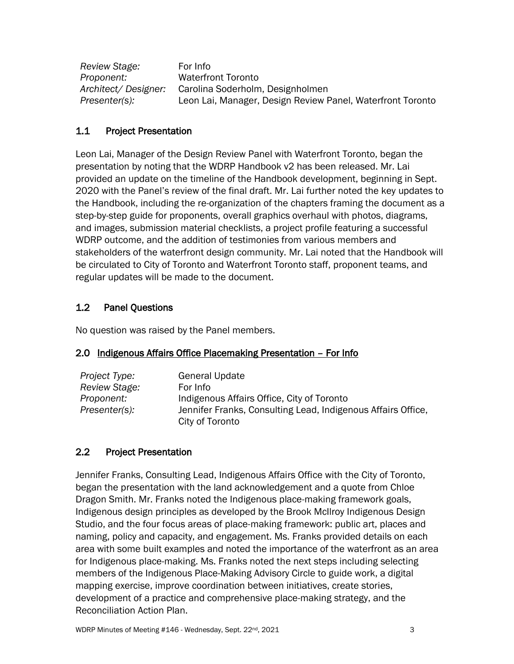| Review Stage:       | For Info                                                   |
|---------------------|------------------------------------------------------------|
| Proponent:          | <b>Waterfront Toronto</b>                                  |
| Architect/Designer: | Carolina Soderholm, Designholmen                           |
| Presenter(s):       | Leon Lai, Manager, Design Review Panel, Waterfront Toronto |

## 1.1 Project Presentation

Leon Lai, Manager of the Design Review Panel with Waterfront Toronto, began the presentation by noting that the WDRP Handbook v2 has been released. Mr. Lai provided an update on the timeline of the Handbook development, beginning in Sept. 2020 with the Panel's review of the final draft. Mr. Lai further noted the key updates to the Handbook, including the re-organization of the chapters framing the document as a step-by-step guide for proponents, overall graphics overhaul with photos, diagrams, and images, submission material checklists, a project profile featuring a successful WDRP outcome, and the addition of testimonies from various members and stakeholders of the waterfront design community. Mr. Lai noted that the Handbook will be circulated to City of Toronto and Waterfront Toronto staff, proponent teams, and regular updates will be made to the document.

## 1.2 Panel Questions

No question was raised by the Panel members.

#### 2.0 Indigenous Affairs Office Placemaking Presentation - For Info

| Project Type: | <b>General Update</b>                                        |
|---------------|--------------------------------------------------------------|
| Review Stage: | For Info                                                     |
| Proponent:    | Indigenous Affairs Office, City of Toronto                   |
| Presenter(s): | Jennifer Franks, Consulting Lead, Indigenous Affairs Office, |
|               | City of Toronto                                              |

## 2.2 Project Presentation

Jennifer Franks, Consulting Lead, Indigenous Affairs Office with the City of Toronto, began the presentation with the land acknowledgement and a quote from Chloe Dragon Smith. Mr. Franks noted the Indigenous place-making framework goals, Indigenous design principles as developed by the Brook McIlroy Indigenous Design Studio, and the four focus areas of place-making framework: public art, places and naming, policy and capacity, and engagement. Ms. Franks provided details on each area with some built examples and noted the importance of the waterfront as an area for Indigenous place-making. Ms. Franks noted the next steps including selecting members of the Indigenous Place-Making Advisory Circle to guide work, a digital mapping exercise, improve coordination between initiatives, create stories, development of a practice and comprehensive place-making strategy, and the Reconciliation Action Plan.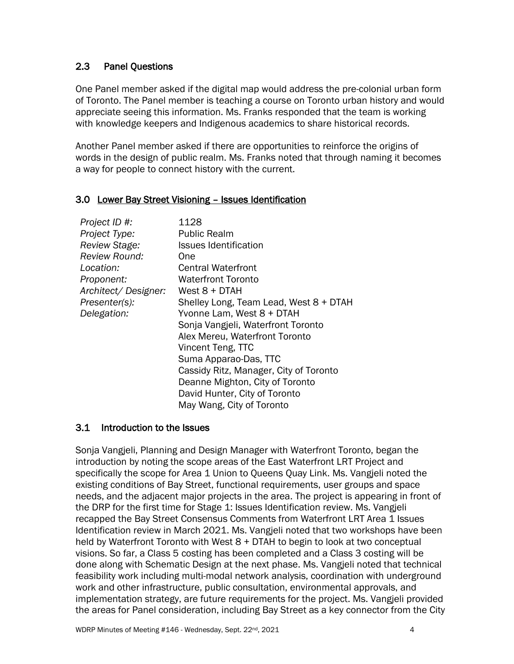#### 2.3 Panel Questions

One Panel member asked if the digital map would address the pre-colonial urban form of Toronto. The Panel member is teaching a course on Toronto urban history and would appreciate seeing this information. Ms. Franks responded that the team is working with knowledge keepers and Indigenous academics to share historical records.

Another Panel member asked if there are opportunities to reinforce the origins of words in the design of public realm. Ms. Franks noted that through naming it becomes a way for people to connect history with the current.

#### 3.0 Lower Bay Street Visioning – Issues Identification

| Project ID #:        | 1128                                   |
|----------------------|----------------------------------------|
| Project Type:        | <b>Public Realm</b>                    |
| Review Stage:        | <b>Issues Identification</b>           |
| <b>Review Round:</b> | One                                    |
| Location:            | <b>Central Waterfront</b>              |
| Proponent:           | <b>Waterfront Toronto</b>              |
| Architect/Designer:  | West 8 + DTAH                          |
| Presenter(s):        | Shelley Long, Team Lead, West 8 + DTAH |
| Delegation:          | Yvonne Lam, West 8 + DTAH              |
|                      | Sonja Vangjeli, Waterfront Toronto     |
|                      | Alex Mereu, Waterfront Toronto         |
|                      | Vincent Teng, TTC                      |
|                      | Suma Apparao-Das, TTC                  |
|                      | Cassidy Ritz, Manager, City of Toronto |
|                      | Deanne Mighton, City of Toronto        |
|                      | David Hunter, City of Toronto          |
|                      | May Wang, City of Toronto              |

#### 3.1 Introduction to the Issues

Sonja Vangjeli, Planning and Design Manager with Waterfront Toronto, began the introduction by noting the scope areas of the East Waterfront LRT Project and specifically the scope for Area 1 Union to Queens Quay Link. Ms. Vangjeli noted the existing conditions of Bay Street, functional requirements, user groups and space needs, and the adjacent major projects in the area. The project is appearing in front of the DRP for the first time for Stage 1: Issues Identification review. Ms. Vangjeli recapped the Bay Street Consensus Comments from Waterfront LRT Area 1 Issues Identification review in March 2021. Ms. Vangjeli noted that two workshops have been held by Waterfront Toronto with West 8 + DTAH to begin to look at two conceptual visions. So far, a Class 5 costing has been completed and a Class 3 costing will be done along with Schematic Design at the next phase. Ms. Vangjeli noted that technical feasibility work including multi-modal network analysis, coordination with underground work and other infrastructure, public consultation, environmental approvals, and implementation strategy, are future requirements for the project. Ms. Vangjeli provided the areas for Panel consideration, including Bay Street as a key connector from the City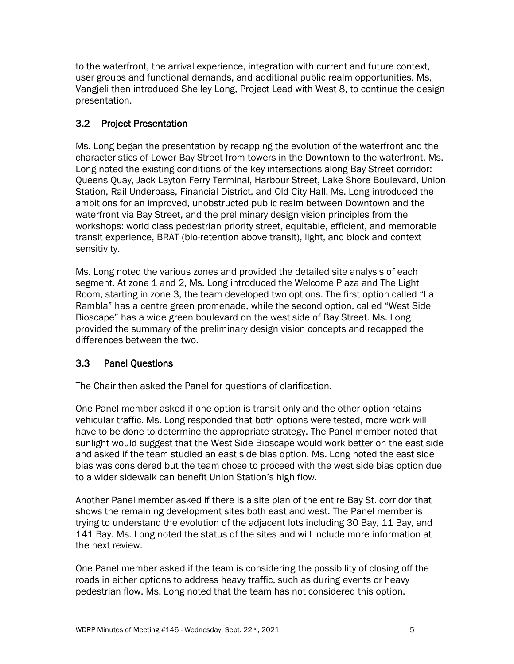to the waterfront, the arrival experience, integration with current and future context, user groups and functional demands, and additional public realm opportunities. Ms, Vangjeli then introduced Shelley Long, Project Lead with West 8, to continue the design presentation.

## 3.2 Project Presentation

Ms. Long began the presentation by recapping the evolution of the waterfront and the characteristics of Lower Bay Street from towers in the Downtown to the waterfront. Ms. Long noted the existing conditions of the key intersections along Bay Street corridor: Queens Quay, Jack Layton Ferry Terminal, Harbour Street, Lake Shore Boulevard, Union Station, Rail Underpass, Financial District, and Old City Hall. Ms. Long introduced the ambitions for an improved, unobstructed public realm between Downtown and the waterfront via Bay Street, and the preliminary design vision principles from the workshops: world class pedestrian priority street, equitable, efficient, and memorable transit experience, BRAT (bio-retention above transit), light, and block and context sensitivity.

Ms. Long noted the various zones and provided the detailed site analysis of each segment. At zone 1 and 2, Ms. Long introduced the Welcome Plaza and The Light Room, starting in zone 3, the team developed two options. The first option called "La Rambla" has a centre green promenade, while the second option, called "West Side Bioscape" has a wide green boulevard on the west side of Bay Street. Ms. Long provided the summary of the preliminary design vision concepts and recapped the differences between the two.

## 3.3 Panel Questions

The Chair then asked the Panel for questions of clarification.

One Panel member asked if one option is transit only and the other option retains vehicular traffic. Ms. Long responded that both options were tested, more work will have to be done to determine the appropriate strategy. The Panel member noted that sunlight would suggest that the West Side Bioscape would work better on the east side and asked if the team studied an east side bias option. Ms. Long noted the east side bias was considered but the team chose to proceed with the west side bias option due to a wider sidewalk can benefit Union Station's high flow.

Another Panel member asked if there is a site plan of the entire Bay St. corridor that shows the remaining development sites both east and west. The Panel member is trying to understand the evolution of the adjacent lots including 30 Bay, 11 Bay, and 141 Bay. Ms. Long noted the status of the sites and will include more information at the next review.

One Panel member asked if the team is considering the possibility of closing off the roads in either options to address heavy traffic, such as during events or heavy pedestrian flow. Ms. Long noted that the team has not considered this option.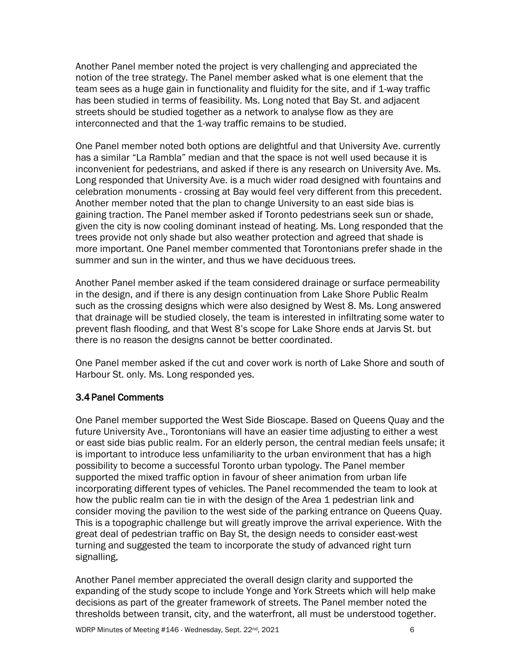Another Panel member noted the project is very challenging and appreciated the notion of the tree strategy. The Panel member asked what is one element that the team sees as a huge gain in functionality and fluidity for the site, and if 1-way traffic has been studied in terms of feasibility. Ms. Long noted that Bay St. and adjacent streets should be studied together as a network to analyse flow as they are interconnected and that the 1-way traffic remains to be studied.

One Panel member noted both options are delightful and that University Ave. currently has a similar "La Rambla" median and that the space is not well used because it is inconvenient for pedestrians, and asked if there is any research on University Ave. Ms. Long responded that University Ave. is a much wider road designed with fountains and celebration monuments - crossing at Bay would feel very different from this precedent. Another member noted that the plan to change University to an east side bias is gaining traction. The Panel member asked if Toronto pedestrians seek sun or shade, given the city is now cooling dominant instead of heating. Ms. Long responded that the trees provide not only shade but also weather protection and agreed that shade is more important. One Panel member commented that Torontonians prefer shade in the summer and sun in the winter, and thus we have deciduous trees.

Another Panel member asked if the team considered drainage or surface permeability in the design, and if there is any design continuation from Lake Shore Public Realm such as the crossing designs which were also designed by West 8. Ms. Long answered that drainage will be studied closely, the team is interested in infiltrating some water to prevent flash flooding, and that West 8's scope for Lake Shore ends at Jarvis St. but there is no reason the designs cannot be better coordinated.

One Panel member asked if the cut and cover work is north of Lake Shore and south of Harbour St. only. Ms. Long responded yes.

## 3.4Panel Comments

One Panel member supported the West Side Bioscape. Based on Queens Quay and the future University Ave., Torontonians will have an easier time adjusting to either a west or east side bias public realm. For an elderly person, the central median feels unsafe; it is important to introduce less unfamiliarity to the urban environment that has a high possibility to become a successful Toronto urban typology. The Panel member supported the mixed traffic option in favour of sheer animation from urban life incorporating different types of vehicles. The Panel recommended the team to look at how the public realm can tie in with the design of the Area 1 pedestrian link and consider moving the pavilion to the west side of the parking entrance on Queens Quay. This is a topographic challenge but will greatly improve the arrival experience. With the great deal of pedestrian traffic on Bay St, the design needs to consider east-west turning and suggested the team to incorporate the study of advanced right turn signalling,

Another Panel member appreciated the overall design clarity and supported the expanding of the study scope to include Yonge and York Streets which will help make decisions as part of the greater framework of streets. The Panel member noted the thresholds between transit, city, and the waterfront, all must be understood together.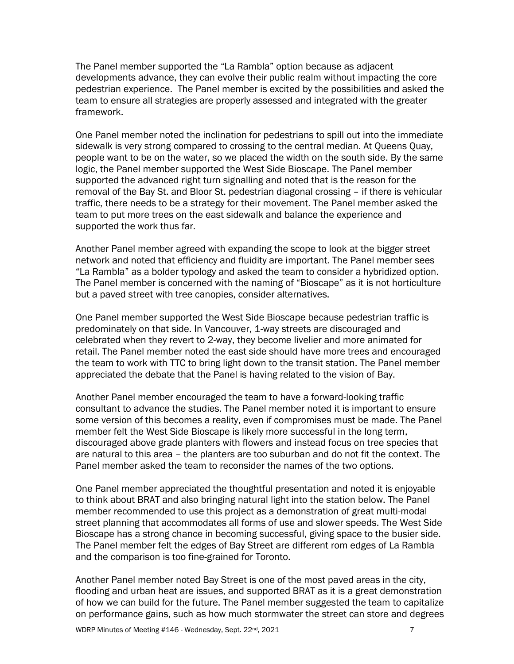The Panel member supported the "La Rambla" option because as adjacent developments advance, they can evolve their public realm without impacting the core pedestrian experience. The Panel member is excited by the possibilities and asked the team to ensure all strategies are properly assessed and integrated with the greater framework.

One Panel member noted the inclination for pedestrians to spill out into the immediate sidewalk is very strong compared to crossing to the central median. At Queens Quay, people want to be on the water, so we placed the width on the south side. By the same logic, the Panel member supported the West Side Bioscape. The Panel member supported the advanced right turn signalling and noted that is the reason for the removal of the Bay St. and Bloor St. pedestrian diagonal crossing – if there is vehicular traffic, there needs to be a strategy for their movement. The Panel member asked the team to put more trees on the east sidewalk and balance the experience and supported the work thus far.

Another Panel member agreed with expanding the scope to look at the bigger street network and noted that efficiency and fluidity are important. The Panel member sees "La Rambla" as a bolder typology and asked the team to consider a hybridized option. The Panel member is concerned with the naming of "Bioscape" as it is not horticulture but a paved street with tree canopies, consider alternatives.

One Panel member supported the West Side Bioscape because pedestrian traffic is predominately on that side. In Vancouver, 1-way streets are discouraged and celebrated when they revert to 2-way, they become livelier and more animated for retail. The Panel member noted the east side should have more trees and encouraged the team to work with TTC to bring light down to the transit station. The Panel member appreciated the debate that the Panel is having related to the vision of Bay.

Another Panel member encouraged the team to have a forward-looking traffic consultant to advance the studies. The Panel member noted it is important to ensure some version of this becomes a reality, even if compromises must be made. The Panel member felt the West Side Bioscape is likely more successful in the long term, discouraged above grade planters with flowers and instead focus on tree species that are natural to this area – the planters are too suburban and do not fit the context. The Panel member asked the team to reconsider the names of the two options.

One Panel member appreciated the thoughtful presentation and noted it is enjoyable to think about BRAT and also bringing natural light into the station below. The Panel member recommended to use this project as a demonstration of great multi-modal street planning that accommodates all forms of use and slower speeds. The West Side Bioscape has a strong chance in becoming successful, giving space to the busier side. The Panel member felt the edges of Bay Street are different rom edges of La Rambla and the comparison is too fine-grained for Toronto.

Another Panel member noted Bay Street is one of the most paved areas in the city, flooding and urban heat are issues, and supported BRAT as it is a great demonstration of how we can build for the future. The Panel member suggested the team to capitalize on performance gains, such as how much stormwater the street can store and degrees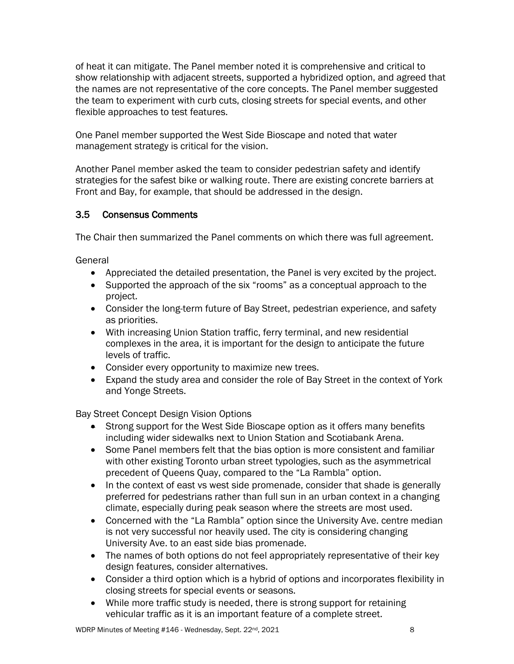of heat it can mitigate. The Panel member noted it is comprehensive and critical to show relationship with adjacent streets, supported a hybridized option, and agreed that the names are not representative of the core concepts. The Panel member suggested the team to experiment with curb cuts, closing streets for special events, and other flexible approaches to test features.

One Panel member supported the West Side Bioscape and noted that water management strategy is critical for the vision.

Another Panel member asked the team to consider pedestrian safety and identify strategies for the safest bike or walking route. There are existing concrete barriers at Front and Bay, for example, that should be addressed in the design.

## 3.5 Consensus Comments

The Chair then summarized the Panel comments on which there was full agreement.

General

- Appreciated the detailed presentation, the Panel is very excited by the project.
- Supported the approach of the six "rooms" as a conceptual approach to the project.
- Consider the long-term future of Bay Street, pedestrian experience, and safety as priorities.
- With increasing Union Station traffic, ferry terminal, and new residential complexes in the area, it is important for the design to anticipate the future levels of traffic.
- Consider every opportunity to maximize new trees.
- Expand the study area and consider the role of Bay Street in the context of York and Yonge Streets.

Bay Street Concept Design Vision Options

- Strong support for the West Side Bioscape option as it offers many benefits including wider sidewalks next to Union Station and Scotiabank Arena.
- Some Panel members felt that the bias option is more consistent and familiar with other existing Toronto urban street typologies, such as the asymmetrical precedent of Queens Quay, compared to the "La Rambla" option.
- In the context of east vs west side promenade, consider that shade is generally preferred for pedestrians rather than full sun in an urban context in a changing climate, especially during peak season where the streets are most used.
- Concerned with the "La Rambla" option since the University Ave. centre median is not very successful nor heavily used. The city is considering changing University Ave. to an east side bias promenade.
- The names of both options do not feel appropriately representative of their key design features, consider alternatives.
- Consider a third option which is a hybrid of options and incorporates flexibility in closing streets for special events or seasons.
- While more traffic study is needed, there is strong support for retaining vehicular traffic as it is an important feature of a complete street.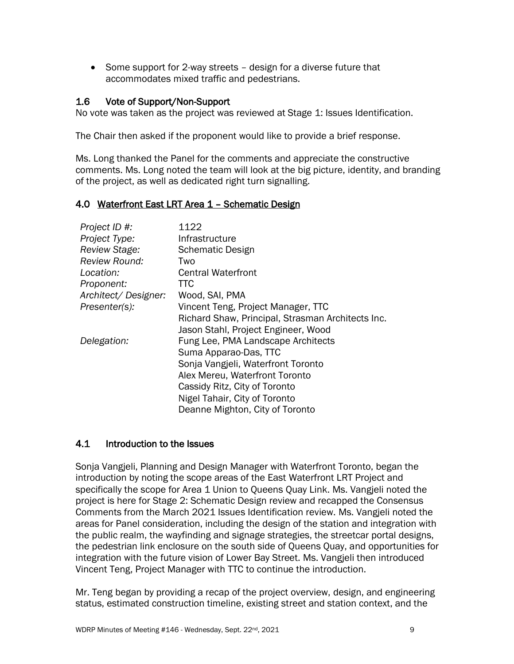• Some support for 2-way streets – design for a diverse future that accommodates mixed traffic and pedestrians.

#### 1.6 Vote of Support/Non-Support

No vote was taken as the project was reviewed at Stage 1: Issues Identification.

The Chair then asked if the proponent would like to provide a brief response.

Ms. Long thanked the Panel for the comments and appreciate the constructive comments. Ms. Long noted the team will look at the big picture, identity, and branding of the project, as well as dedicated right turn signalling.

#### 4.0 Waterfront East LRT Area 1 – Schematic Design

| Project ID #:        | 1122                                              |
|----------------------|---------------------------------------------------|
| Project Type:        | Infrastructure                                    |
| <b>Review Stage:</b> | <b>Schematic Design</b>                           |
| <b>Review Round:</b> | Two                                               |
| Location:            | <b>Central Waterfront</b>                         |
| Proponent:           | TTC                                               |
| Architect/Designer:  | Wood, SAI, PMA                                    |
| Presenter(s):        | Vincent Teng, Project Manager, TTC                |
|                      | Richard Shaw, Principal, Strasman Architects Inc. |
|                      | Jason Stahl, Project Engineer, Wood               |
| Delegation:          | Fung Lee, PMA Landscape Architects                |
|                      | Suma Apparao-Das, TTC                             |
|                      | Sonja Vangjeli, Waterfront Toronto                |
|                      | Alex Mereu, Waterfront Toronto                    |
|                      | Cassidy Ritz, City of Toronto                     |
|                      | Nigel Tahair, City of Toronto                     |
|                      | Deanne Mighton, City of Toronto                   |

#### 4.1 Introduction to the Issues

Sonja Vangjeli, Planning and Design Manager with Waterfront Toronto, began the introduction by noting the scope areas of the East Waterfront LRT Project and specifically the scope for Area 1 Union to Queens Quay Link. Ms. Vangjeli noted the project is here for Stage 2: Schematic Design review and recapped the Consensus Comments from the March 2021 Issues Identification review. Ms. Vangjeli noted the areas for Panel consideration, including the design of the station and integration with the public realm, the wayfinding and signage strategies, the streetcar portal designs, the pedestrian link enclosure on the south side of Queens Quay, and opportunities for integration with the future vision of Lower Bay Street. Ms. Vangjeli then introduced Vincent Teng, Project Manager with TTC to continue the introduction.

Mr. Teng began by providing a recap of the project overview, design, and engineering status, estimated construction timeline, existing street and station context, and the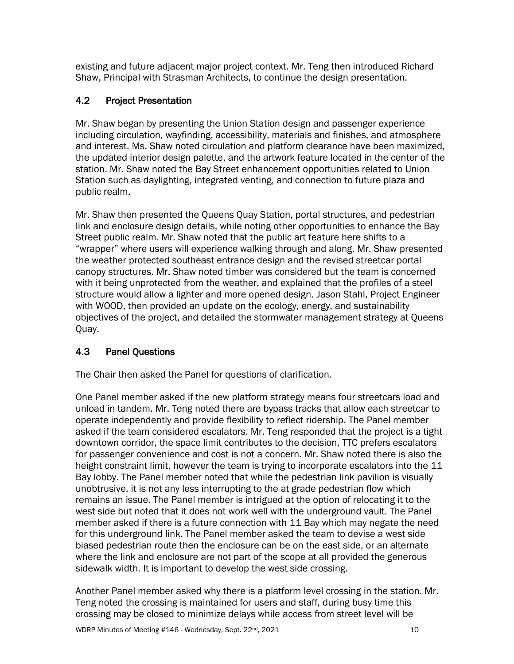existing and future adjacent major project context. Mr. Teng then introduced Richard Shaw, Principal with Strasman Architects, to continue the design presentation.

# 4.2 Project Presentation

Mr. Shaw began by presenting the Union Station design and passenger experience including circulation, wayfinding, accessibility, materials and finishes, and atmosphere and interest. Ms. Shaw noted circulation and platform clearance have been maximized, the updated interior design palette, and the artwork feature located in the center of the station. Mr. Shaw noted the Bay Street enhancement opportunities related to Union Station such as daylighting, integrated venting, and connection to future plaza and public realm.

Mr. Shaw then presented the Queens Quay Station, portal structures, and pedestrian link and enclosure design details, while noting other opportunities to enhance the Bay Street public realm. Mr. Shaw noted that the public art feature here shifts to a "wrapper" where users will experience walking through and along. Mr. Shaw presented the weather protected southeast entrance design and the revised streetcar portal canopy structures. Mr. Shaw noted timber was considered but the team is concerned with it being unprotected from the weather, and explained that the profiles of a steel structure would allow a lighter and more opened design. Jason Stahl, Project Engineer with WOOD, then provided an update on the ecology, energy, and sustainability objectives of the project, and detailed the stormwater management strategy at Queens Quay.

# 4.3 Panel Questions

The Chair then asked the Panel for questions of clarification.

One Panel member asked if the new platform strategy means four streetcars load and unload in tandem. Mr. Teng noted there are bypass tracks that allow each streetcar to operate independently and provide flexibility to reflect ridership. The Panel member asked if the team considered escalators. Mr. Teng responded that the project is a tight downtown corridor, the space limit contributes to the decision, TTC prefers escalators for passenger convenience and cost is not a concern. Mr. Shaw noted there is also the height constraint limit, however the team is trying to incorporate escalators into the 11 Bay lobby. The Panel member noted that while the pedestrian link pavilion is visually unobtrusive, it is not any less interrupting to the at grade pedestrian flow which remains an issue. The Panel member is intrigued at the option of relocating it to the west side but noted that it does not work well with the underground vault. The Panel member asked if there is a future connection with 11 Bay which may negate the need for this underground link. The Panel member asked the team to devise a west side biased pedestrian route then the enclosure can be on the east side, or an alternate where the link and enclosure are not part of the scope at all provided the generous sidewalk width. It is important to develop the west side crossing.

Another Panel member asked why there is a platform level crossing in the station. Mr. Teng noted the crossing is maintained for users and staff, during busy time this crossing may be closed to minimize delays while access from street level will be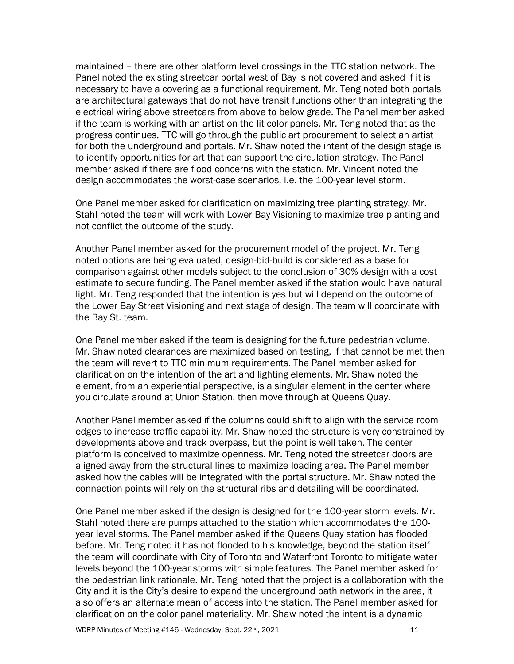maintained – there are other platform level crossings in the TTC station network. The Panel noted the existing streetcar portal west of Bay is not covered and asked if it is necessary to have a covering as a functional requirement. Mr. Teng noted both portals are architectural gateways that do not have transit functions other than integrating the electrical wiring above streetcars from above to below grade. The Panel member asked if the team is working with an artist on the lit color panels. Mr. Teng noted that as the progress continues, TTC will go through the public art procurement to select an artist for both the underground and portals. Mr. Shaw noted the intent of the design stage is to identify opportunities for art that can support the circulation strategy. The Panel member asked if there are flood concerns with the station. Mr. Vincent noted the design accommodates the worst-case scenarios, i.e. the 100-year level storm.

One Panel member asked for clarification on maximizing tree planting strategy. Mr. Stahl noted the team will work with Lower Bay Visioning to maximize tree planting and not conflict the outcome of the study.

Another Panel member asked for the procurement model of the project. Mr. Teng noted options are being evaluated, design-bid-build is considered as a base for comparison against other models subject to the conclusion of 30% design with a cost estimate to secure funding. The Panel member asked if the station would have natural light. Mr. Teng responded that the intention is yes but will depend on the outcome of the Lower Bay Street Visioning and next stage of design. The team will coordinate with the Bay St. team.

One Panel member asked if the team is designing for the future pedestrian volume. Mr. Shaw noted clearances are maximized based on testing, if that cannot be met then the team will revert to TTC minimum requirements. The Panel member asked for clarification on the intention of the art and lighting elements. Mr. Shaw noted the element, from an experiential perspective, is a singular element in the center where you circulate around at Union Station, then move through at Queens Quay.

Another Panel member asked if the columns could shift to align with the service room edges to increase traffic capability. Mr. Shaw noted the structure is very constrained by developments above and track overpass, but the point is well taken. The center platform is conceived to maximize openness. Mr. Teng noted the streetcar doors are aligned away from the structural lines to maximize loading area. The Panel member asked how the cables will be integrated with the portal structure. Mr. Shaw noted the connection points will rely on the structural ribs and detailing will be coordinated.

One Panel member asked if the design is designed for the 100-year storm levels. Mr. Stahl noted there are pumps attached to the station which accommodates the 100 year level storms. The Panel member asked if the Queens Quay station has flooded before. Mr. Teng noted it has not flooded to his knowledge, beyond the station itself the team will coordinate with City of Toronto and Waterfront Toronto to mitigate water levels beyond the 100-year storms with simple features. The Panel member asked for the pedestrian link rationale. Mr. Teng noted that the project is a collaboration with the City and it is the City's desire to expand the underground path network in the area, it also offers an alternate mean of access into the station. The Panel member asked for clarification on the color panel materiality. Mr. Shaw noted the intent is a dynamic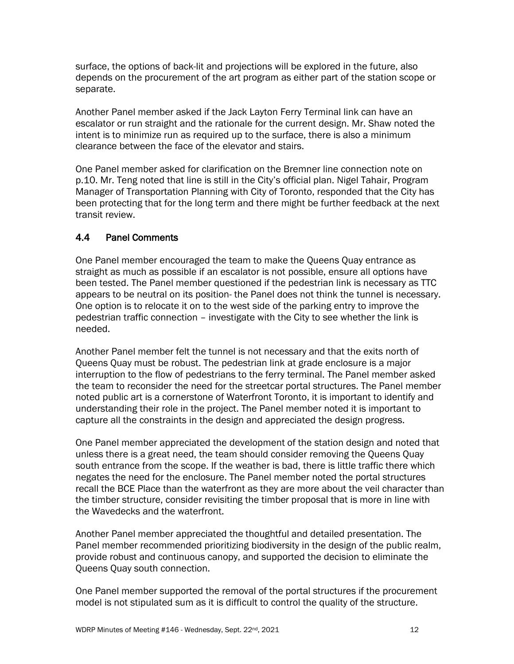surface, the options of back-lit and projections will be explored in the future, also depends on the procurement of the art program as either part of the station scope or separate.

Another Panel member asked if the Jack Layton Ferry Terminal link can have an escalator or run straight and the rationale for the current design. Mr. Shaw noted the intent is to minimize run as required up to the surface, there is also a minimum clearance between the face of the elevator and stairs.

One Panel member asked for clarification on the Bremner line connection note on p.10. Mr. Teng noted that line is still in the City's official plan. Nigel Tahair, Program Manager of Transportation Planning with City of Toronto, responded that the City has been protecting that for the long term and there might be further feedback at the next transit review.

## 4.4 Panel Comments

One Panel member encouraged the team to make the Queens Quay entrance as straight as much as possible if an escalator is not possible, ensure all options have been tested. The Panel member questioned if the pedestrian link is necessary as TTC appears to be neutral on its position- the Panel does not think the tunnel is necessary. One option is to relocate it on to the west side of the parking entry to improve the pedestrian traffic connection – investigate with the City to see whether the link is needed.

Another Panel member felt the tunnel is not necessary and that the exits north of Queens Quay must be robust. The pedestrian link at grade enclosure is a major interruption to the flow of pedestrians to the ferry terminal. The Panel member asked the team to reconsider the need for the streetcar portal structures. The Panel member noted public art is a cornerstone of Waterfront Toronto, it is important to identify and understanding their role in the project. The Panel member noted it is important to capture all the constraints in the design and appreciated the design progress.

One Panel member appreciated the development of the station design and noted that unless there is a great need, the team should consider removing the Queens Quay south entrance from the scope. If the weather is bad, there is little traffic there which negates the need for the enclosure. The Panel member noted the portal structures recall the BCE Place than the waterfront as they are more about the veil character than the timber structure, consider revisiting the timber proposal that is more in line with the Wavedecks and the waterfront.

Another Panel member appreciated the thoughtful and detailed presentation. The Panel member recommended prioritizing biodiversity in the design of the public realm, provide robust and continuous canopy, and supported the decision to eliminate the Queens Quay south connection.

One Panel member supported the removal of the portal structures if the procurement model is not stipulated sum as it is difficult to control the quality of the structure.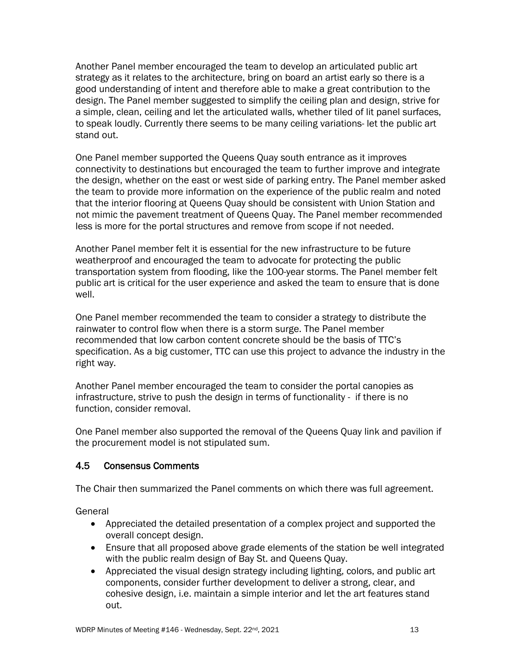Another Panel member encouraged the team to develop an articulated public art strategy as it relates to the architecture, bring on board an artist early so there is a good understanding of intent and therefore able to make a great contribution to the design. The Panel member suggested to simplify the ceiling plan and design, strive for a simple, clean, ceiling and let the articulated walls, whether tiled of lit panel surfaces, to speak loudly. Currently there seems to be many ceiling variations- let the public art stand out.

One Panel member supported the Queens Quay south entrance as it improves connectivity to destinations but encouraged the team to further improve and integrate the design, whether on the east or west side of parking entry. The Panel member asked the team to provide more information on the experience of the public realm and noted that the interior flooring at Queens Quay should be consistent with Union Station and not mimic the pavement treatment of Queens Quay. The Panel member recommended less is more for the portal structures and remove from scope if not needed.

Another Panel member felt it is essential for the new infrastructure to be future weatherproof and encouraged the team to advocate for protecting the public transportation system from flooding, like the 100-year storms. The Panel member felt public art is critical for the user experience and asked the team to ensure that is done well.

One Panel member recommended the team to consider a strategy to distribute the rainwater to control flow when there is a storm surge. The Panel member recommended that low carbon content concrete should be the basis of TTC's specification. As a big customer, TTC can use this project to advance the industry in the right way.

Another Panel member encouraged the team to consider the portal canopies as infrastructure, strive to push the design in terms of functionality - if there is no function, consider removal.

One Panel member also supported the removal of the Queens Quay link and pavilion if the procurement model is not stipulated sum.

#### 4.5 Consensus Comments

The Chair then summarized the Panel comments on which there was full agreement.

General

- Appreciated the detailed presentation of a complex project and supported the overall concept design.
- Ensure that all proposed above grade elements of the station be well integrated with the public realm design of Bay St. and Queens Quay.
- Appreciated the visual design strategy including lighting, colors, and public art components, consider further development to deliver a strong, clear, and cohesive design, i.e. maintain a simple interior and let the art features stand out.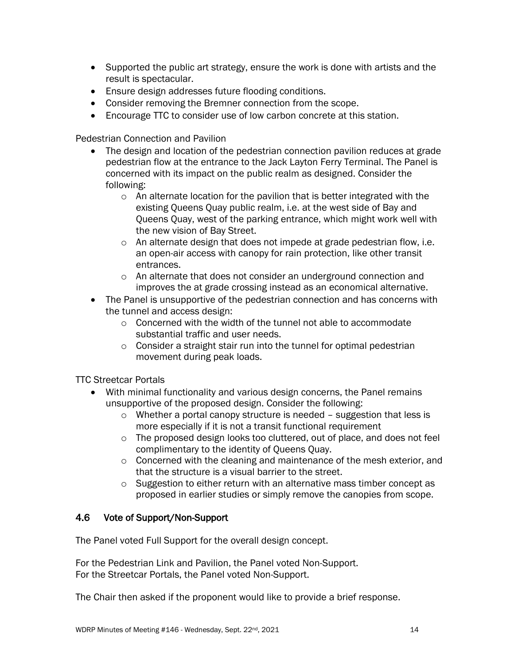- Supported the public art strategy, ensure the work is done with artists and the result is spectacular.
- Ensure design addresses future flooding conditions.
- Consider removing the Bremner connection from the scope.
- Encourage TTC to consider use of low carbon concrete at this station.

Pedestrian Connection and Pavilion

- The design and location of the pedestrian connection pavilion reduces at grade pedestrian flow at the entrance to the Jack Layton Ferry Terminal. The Panel is concerned with its impact on the public realm as designed. Consider the following:
	- o An alternate location for the pavilion that is better integrated with the existing Queens Quay public realm, i.e. at the west side of Bay and Queens Quay, west of the parking entrance, which might work well with the new vision of Bay Street.
	- o An alternate design that does not impede at grade pedestrian flow, i.e. an open-air access with canopy for rain protection, like other transit entrances.
	- o An alternate that does not consider an underground connection and improves the at grade crossing instead as an economical alternative.
- The Panel is unsupportive of the pedestrian connection and has concerns with the tunnel and access design:
	- o Concerned with the width of the tunnel not able to accommodate substantial traffic and user needs.
	- o Consider a straight stair run into the tunnel for optimal pedestrian movement during peak loads.

TTC Streetcar Portals

- With minimal functionality and various design concerns, the Panel remains unsupportive of the proposed design. Consider the following:
	- o Whether a portal canopy structure is needed suggestion that less is more especially if it is not a transit functional requirement
	- o The proposed design looks too cluttered, out of place, and does not feel complimentary to the identity of Queens Quay.
	- $\circ$  Concerned with the cleaning and maintenance of the mesh exterior, and that the structure is a visual barrier to the street.
	- o Suggestion to either return with an alternative mass timber concept as proposed in earlier studies or simply remove the canopies from scope.

## 4.6 Vote of Support/Non-Support

The Panel voted Full Support for the overall design concept.

For the Pedestrian Link and Pavilion, the Panel voted Non-Support. For the Streetcar Portals, the Panel voted Non-Support.

The Chair then asked if the proponent would like to provide a brief response.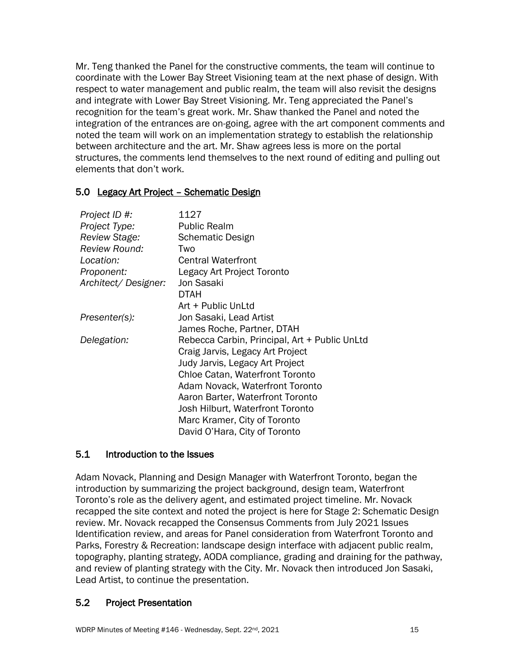Mr. Teng thanked the Panel for the constructive comments, the team will continue to coordinate with the Lower Bay Street Visioning team at the next phase of design. With respect to water management and public realm, the team will also revisit the designs and integrate with Lower Bay Street Visioning. Mr. Teng appreciated the Panel's recognition for the team's great work. Mr. Shaw thanked the Panel and noted the integration of the entrances are on-going, agree with the art component comments and noted the team will work on an implementation strategy to establish the relationship between architecture and the art. Mr. Shaw agrees less is more on the portal structures, the comments lend themselves to the next round of editing and pulling out elements that don't work.

#### 5.0 Legacy Art Project – Schematic Design

| Project ID #:<br>Project Type:<br>Review Stage: | 1127<br><b>Public Realm</b><br><b>Schematic Design</b> |
|-------------------------------------------------|--------------------------------------------------------|
| <b>Review Round:</b>                            | Two                                                    |
| Location:                                       | <b>Central Waterfront</b>                              |
| Proponent:                                      | Legacy Art Project Toronto                             |
| Architect/Designer:                             | Jon Sasaki                                             |
|                                                 | DTAH                                                   |
|                                                 | Art + Public UnLtd                                     |
| Presenter(s):                                   | Jon Sasaki, Lead Artist                                |
|                                                 | James Roche, Partner, DTAH                             |
| Delegation:                                     | Rebecca Carbin, Principal, Art + Public UnLtd          |
|                                                 | Craig Jarvis, Legacy Art Project                       |
|                                                 | Judy Jarvis, Legacy Art Project                        |
|                                                 | <b>Chloe Catan, Waterfront Toronto</b>                 |
|                                                 | Adam Novack, Waterfront Toronto                        |
|                                                 | Aaron Barter, Waterfront Toronto                       |
|                                                 | Josh Hilburt, Waterfront Toronto                       |
|                                                 | Marc Kramer, City of Toronto                           |
|                                                 | David O'Hara, City of Toronto                          |

#### 5.1 Introduction to the Issues

Adam Novack, Planning and Design Manager with Waterfront Toronto, began the introduction by summarizing the project background, design team, Waterfront Toronto's role as the delivery agent, and estimated project timeline. Mr. Novack recapped the site context and noted the project is here for Stage 2: Schematic Design review. Mr. Novack recapped the Consensus Comments from July 2021 Issues Identification review, and areas for Panel consideration from Waterfront Toronto and Parks, Forestry & Recreation: landscape design interface with adjacent public realm, topography, planting strategy, AODA compliance, grading and draining for the pathway, and review of planting strategy with the City. Mr. Novack then introduced Jon Sasaki, Lead Artist, to continue the presentation.

#### 5.2 Project Presentation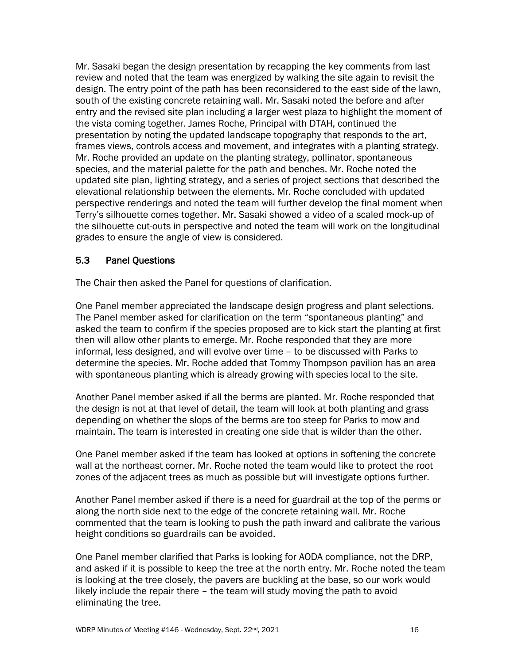Mr. Sasaki began the design presentation by recapping the key comments from last review and noted that the team was energized by walking the site again to revisit the design. The entry point of the path has been reconsidered to the east side of the lawn, south of the existing concrete retaining wall. Mr. Sasaki noted the before and after entry and the revised site plan including a larger west plaza to highlight the moment of the vista coming together. James Roche, Principal with DTAH, continued the presentation by noting the updated landscape topography that responds to the art, frames views, controls access and movement, and integrates with a planting strategy. Mr. Roche provided an update on the planting strategy, pollinator, spontaneous species, and the material palette for the path and benches. Mr. Roche noted the updated site plan, lighting strategy, and a series of project sections that described the elevational relationship between the elements. Mr. Roche concluded with updated perspective renderings and noted the team will further develop the final moment when Terry's silhouette comes together. Mr. Sasaki showed a video of a scaled mock-up of the silhouette cut-outs in perspective and noted the team will work on the longitudinal grades to ensure the angle of view is considered.

#### 5.3 Panel Questions

The Chair then asked the Panel for questions of clarification.

One Panel member appreciated the landscape design progress and plant selections. The Panel member asked for clarification on the term "spontaneous planting" and asked the team to confirm if the species proposed are to kick start the planting at first then will allow other plants to emerge. Mr. Roche responded that they are more informal, less designed, and will evolve over time – to be discussed with Parks to determine the species. Mr. Roche added that Tommy Thompson pavilion has an area with spontaneous planting which is already growing with species local to the site.

Another Panel member asked if all the berms are planted. Mr. Roche responded that the design is not at that level of detail, the team will look at both planting and grass depending on whether the slops of the berms are too steep for Parks to mow and maintain. The team is interested in creating one side that is wilder than the other.

One Panel member asked if the team has looked at options in softening the concrete wall at the northeast corner. Mr. Roche noted the team would like to protect the root zones of the adjacent trees as much as possible but will investigate options further.

Another Panel member asked if there is a need for guardrail at the top of the perms or along the north side next to the edge of the concrete retaining wall. Mr. Roche commented that the team is looking to push the path inward and calibrate the various height conditions so guardrails can be avoided.

One Panel member clarified that Parks is looking for AODA compliance, not the DRP, and asked if it is possible to keep the tree at the north entry. Mr. Roche noted the team is looking at the tree closely, the pavers are buckling at the base, so our work would likely include the repair there – the team will study moving the path to avoid eliminating the tree.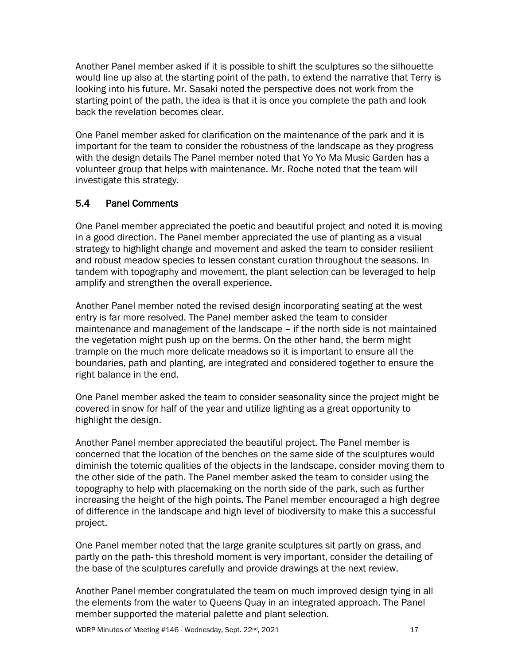Another Panel member asked if it is possible to shift the sculptures so the silhouette would line up also at the starting point of the path, to extend the narrative that Terry is looking into his future. Mr. Sasaki noted the perspective does not work from the starting point of the path, the idea is that it is once you complete the path and look back the revelation becomes clear.

One Panel member asked for clarification on the maintenance of the park and it is important for the team to consider the robustness of the landscape as they progress with the design details The Panel member noted that Yo Yo Ma Music Garden has a volunteer group that helps with maintenance. Mr. Roche noted that the team will investigate this strategy.

## 5.4 Panel Comments

One Panel member appreciated the poetic and beautiful project and noted it is moving in a good direction. The Panel member appreciated the use of planting as a visual strategy to highlight change and movement and asked the team to consider resilient and robust meadow species to lessen constant curation throughout the seasons. In tandem with topography and movement, the plant selection can be leveraged to help amplify and strengthen the overall experience.

Another Panel member noted the revised design incorporating seating at the west entry is far more resolved. The Panel member asked the team to consider maintenance and management of the landscape – if the north side is not maintained the vegetation might push up on the berms. On the other hand, the berm might trample on the much more delicate meadows so it is important to ensure all the boundaries, path and planting, are integrated and considered together to ensure the right balance in the end.

One Panel member asked the team to consider seasonality since the project might be covered in snow for half of the year and utilize lighting as a great opportunity to highlight the design.

Another Panel member appreciated the beautiful project. The Panel member is concerned that the location of the benches on the same side of the sculptures would diminish the totemic qualities of the objects in the landscape, consider moving them to the other side of the path. The Panel member asked the team to consider using the topography to help with placemaking on the north side of the park, such as further increasing the height of the high points. The Panel member encouraged a high degree of difference in the landscape and high level of biodiversity to make this a successful project.

One Panel member noted that the large granite sculptures sit partly on grass, and partly on the path- this threshold moment is very important, consider the detailing of the base of the sculptures carefully and provide drawings at the next review.

Another Panel member congratulated the team on much improved design tying in all the elements from the water to Queens Quay in an integrated approach. The Panel member supported the material palette and plant selection.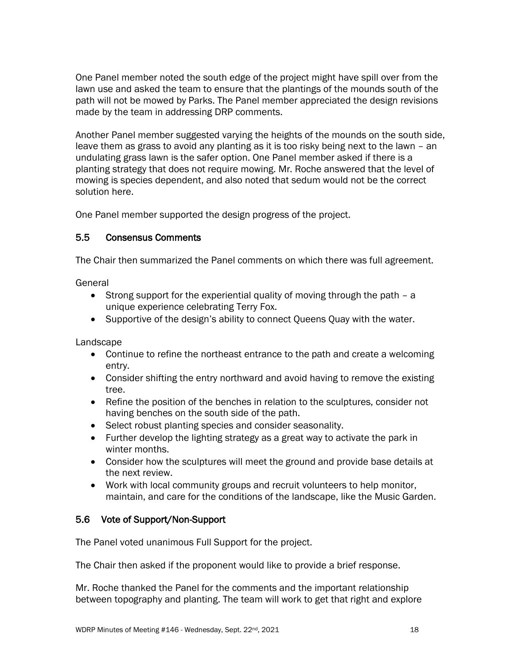One Panel member noted the south edge of the project might have spill over from the lawn use and asked the team to ensure that the plantings of the mounds south of the path will not be mowed by Parks. The Panel member appreciated the design revisions made by the team in addressing DRP comments.

Another Panel member suggested varying the heights of the mounds on the south side, leave them as grass to avoid any planting as it is too risky being next to the lawn – an undulating grass lawn is the safer option. One Panel member asked if there is a planting strategy that does not require mowing. Mr. Roche answered that the level of mowing is species dependent, and also noted that sedum would not be the correct solution here.

One Panel member supported the design progress of the project.

## 5.5 Consensus Comments

The Chair then summarized the Panel comments on which there was full agreement.

General

- Strong support for the experiential quality of moving through the path a unique experience celebrating Terry Fox.
- Supportive of the design's ability to connect Queens Quay with the water.

Landscape

- Continue to refine the northeast entrance to the path and create a welcoming entry.
- Consider shifting the entry northward and avoid having to remove the existing tree.
- Refine the position of the benches in relation to the sculptures, consider not having benches on the south side of the path.
- Select robust planting species and consider seasonality.
- Further develop the lighting strategy as a great way to activate the park in winter months.
- Consider how the sculptures will meet the ground and provide base details at the next review.
- Work with local community groups and recruit volunteers to help monitor, maintain, and care for the conditions of the landscape, like the Music Garden.

#### 5.6 Vote of Support/Non-Support

The Panel voted unanimous Full Support for the project.

The Chair then asked if the proponent would like to provide a brief response.

Mr. Roche thanked the Panel for the comments and the important relationship between topography and planting. The team will work to get that right and explore